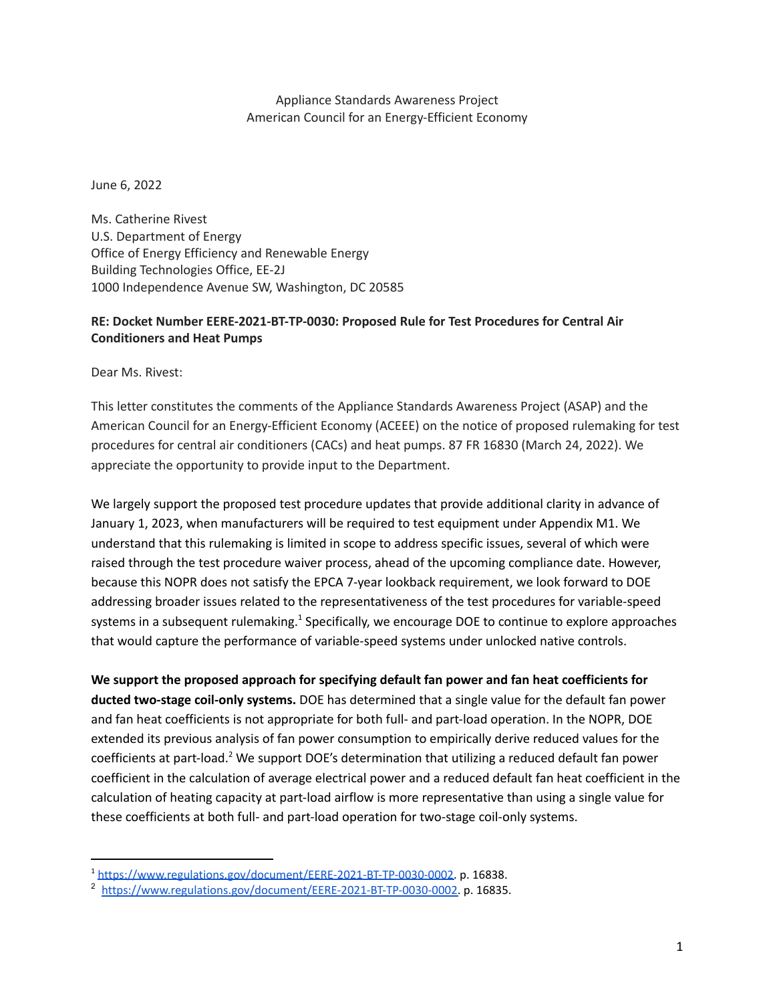Appliance Standards Awareness Project American Council for an Energy-Efficient Economy

June 6, 2022

Ms. Catherine Rivest U.S. Department of Energy Office of Energy Efficiency and Renewable Energy Building Technologies Office, EE-2J 1000 Independence Avenue SW, Washington, DC 20585

## **RE: Docket Number EERE-2021-BT-TP-0030: Proposed Rule for Test Procedures for Central Air Conditioners and Heat Pumps**

Dear Ms. Rivest:

This letter constitutes the comments of the Appliance Standards Awareness Project (ASAP) and the American Council for an Energy-Efficient Economy (ACEEE) on the notice of proposed rulemaking for test procedures for central air conditioners (CACs) and heat pumps. 87 FR 16830 (March 24, 2022). We appreciate the opportunity to provide input to the Department.

We largely support the proposed test procedure updates that provide additional clarity in advance of January 1, 2023, when manufacturers will be required to test equipment under Appendix M1. We understand that this rulemaking is limited in scope to address specific issues, several of which were raised through the test procedure waiver process, ahead of the upcoming compliance date. However, because this NOPR does not satisfy the EPCA 7-year lookback requirement, we look forward to DOE addressing broader issues related to the representativeness of the test procedures for variable-speed systems in a subsequent rulemaking.<sup>1</sup> Specifically, we encourage DOE to continue to explore approaches that would capture the performance of variable-speed systems under unlocked native controls.

**We support the proposed approach for specifying default fan power and fan heat coefficients for ducted two-stage coil-only systems.** DOE has determined that a single value for the default fan power and fan heat coefficients is not appropriate for both full- and part-load operation. In the NOPR, DOE extended its previous analysis of fan power consumption to empirically derive reduced values for the coefficients at part-load.<sup>2</sup> We support DOE's determination that utilizing a reduced default fan power coefficient in the calculation of average electrical power and a reduced default fan heat coefficient in the calculation of heating capacity at part-load airflow is more representative than using a single value for these coefficients at both full- and part-load operation for two-stage coil-only systems.

<sup>&</sup>lt;sup>1</sup> [https://www.regulations.gov/document/EERE-2021-BT-TP-0030-0002.](https://www.regulations.gov/document/EERE-2021-BT-TP-0030-0002) p. 16838.

<sup>2</sup> [https://www.regulations.gov/document/EERE-2021-BT-TP-0030-0002.](https://www.regulations.gov/document/EERE-2021-BT-TP-0030-0002) p. 16835.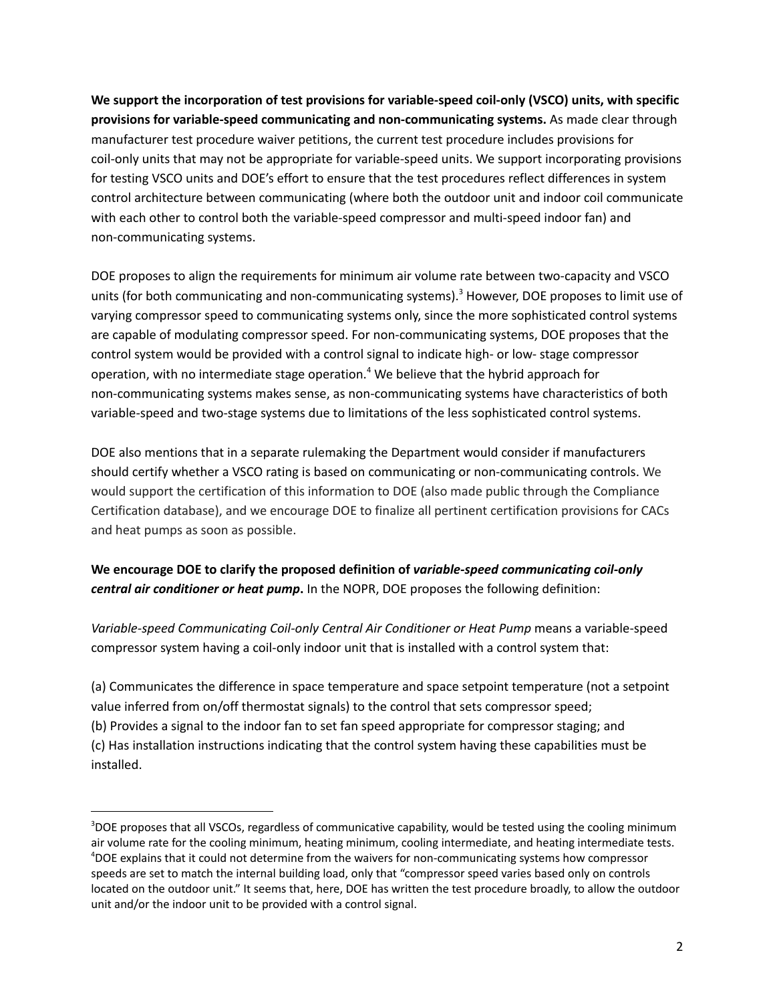**We support the incorporation of test provisions for variable-speed coil-only (VSCO) units, with specific provisions for variable-speed communicating and non-communicating systems.** As made clear through manufacturer test procedure waiver petitions, the current test procedure includes provisions for coil-only units that may not be appropriate for variable-speed units. We support incorporating provisions for testing VSCO units and DOE's effort to ensure that the test procedures reflect differences in system control architecture between communicating (where both the outdoor unit and indoor coil communicate with each other to control both the variable-speed compressor and multi-speed indoor fan) and non-communicating systems.

DOE proposes to align the requirements for minimum air volume rate between two-capacity and VSCO units (for both communicating and non-communicating systems). <sup>3</sup> However, DOE proposes to limit use of varying compressor speed to communicating systems only, since the more sophisticated control systems are capable of modulating compressor speed. For non-communicating systems, DOE proposes that the control system would be provided with a control signal to indicate high- or low- stage compressor operation, with no intermediate stage operation. <sup>4</sup> We believe that the hybrid approach for non-communicating systems makes sense, as non-communicating systems have characteristics of both variable-speed and two-stage systems due to limitations of the less sophisticated control systems.

DOE also mentions that in a separate rulemaking the Department would consider if manufacturers should certify whether a VSCO rating is based on communicating or non-communicating controls. We would support the certification of this information to DOE (also made public through the Compliance Certification database), and we encourage DOE to finalize all pertinent certification provisions for CACs and heat pumps as soon as possible.

## **We encourage DOE to clarify the proposed definition of** *variable-speed communicating coil-only central air conditioner or heat pump***.** In the NOPR, DOE proposes the following definition:

*Variable-speed Communicating Coil-only Central Air Conditioner or Heat Pump* means a variable-speed compressor system having a coil-only indoor unit that is installed with a control system that:

(a) Communicates the difference in space temperature and space setpoint temperature (not a setpoint value inferred from on/off thermostat signals) to the control that sets compressor speed; (b) Provides a signal to the indoor fan to set fan speed appropriate for compressor staging; and (c) Has installation instructions indicating that the control system having these capabilities must be installed.

<sup>4</sup>DOE explains that it could not determine from the waivers for non-communicating systems how compressor speeds are set to match the internal building load, only that "compressor speed varies based only on controls located on the outdoor unit." It seems that, here, DOE has written the test procedure broadly, to allow the outdoor unit and/or the indoor unit to be provided with a control signal. <sup>3</sup>DOE proposes that all VSCOs, regardless of communicative capability, would be tested using the cooling minimum air volume rate for the cooling minimum, heating minimum, cooling intermediate, and heating intermediate tests.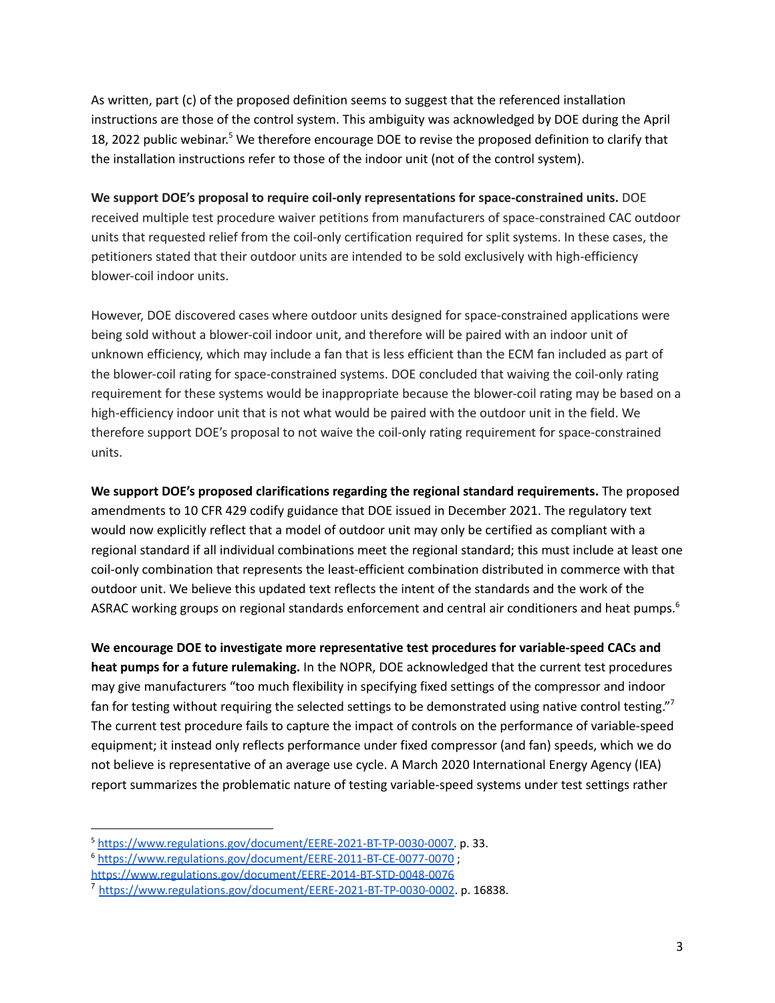As written, part (c) of the proposed definition seems to suggest that the referenced installation instructions are those of the control system. This ambiguity was acknowledged by DOE during the April 18, 2022 public webinar.<sup>5</sup> We therefore encourage DOE to revise the proposed definition to clarify that the installation instructions refer to those of the indoor unit (not of the control system).

**We support DOE's proposal to require coil-only representations for space-constrained units.** DOE received multiple test procedure waiver petitions from manufacturers of space-constrained CAC outdoor units that requested relief from the coil-only certification required for split systems. In these cases, the petitioners stated that their outdoor units are intended to be sold exclusively with high-efficiency blower-coil indoor units.

However, DOE discovered cases where outdoor units designed for space-constrained applications were being sold without a blower-coil indoor unit, and therefore will be paired with an indoor unit of unknown efficiency, which may include a fan that is less efficient than the ECM fan included as part of the blower-coil rating for space-constrained systems. DOE concluded that waiving the coil-only rating requirement for these systems would be inappropriate because the blower-coil rating may be based on a high-efficiency indoor unit that is not what would be paired with the outdoor unit in the field. We therefore support DOE's proposal to not waive the coil-only rating requirement for space-constrained units.

**We support DOE's proposed clarifications regarding the regional standard requirements.** The proposed amendments to 10 CFR 429 codify guidance that DOE issued in December 2021. The regulatory text would now explicitly reflect that a model of outdoor unit may only be certified as compliant with a regional standard if all individual combinations meet the regional standard; this must include at least one coil-only combination that represents the least-efficient combination distributed in commerce with that outdoor unit. We believe this updated text reflects the intent of the standards and the work of the ASRAC working groups on regional standards enforcement and central air conditioners and heat pumps.<sup>6</sup>

**We encourage DOE to investigate more representative test procedures for variable-speed CACs and heat pumps for a future rulemaking.** In the NOPR, DOE acknowledged that the current test procedures may give manufacturers "too much flexibility in specifying fixed settings of the compressor and indoor fan for testing without requiring the selected settings to be demonstrated using native control testing."<sup>7</sup> The current test procedure fails to capture the impact of controls on the performance of variable-speed equipment; it instead only reflects performance under fixed compressor (and fan) speeds, which we do not believe is representative of an average use cycle. A March 2020 International Energy Agency (IEA) report summarizes the problematic nature of testing variable-speed systems under test settings rather

<sup>5</sup> [https://www.regulations.gov/document/EERE-2021-BT-TP-0030-0007.](https://www.regulations.gov/document/EERE-2021-BT-TP-0030-0007) p. 33.

<sup>6</sup> <https://www.regulations.gov/document/EERE-2011-BT-CE-0077-0070> ;

<https://www.regulations.gov/document/EERE-2014-BT-STD-0048-0076>

<sup>7</sup> <https://www.regulations.gov/document/EERE-2021-BT-TP-0030-0002>. p. 16838.